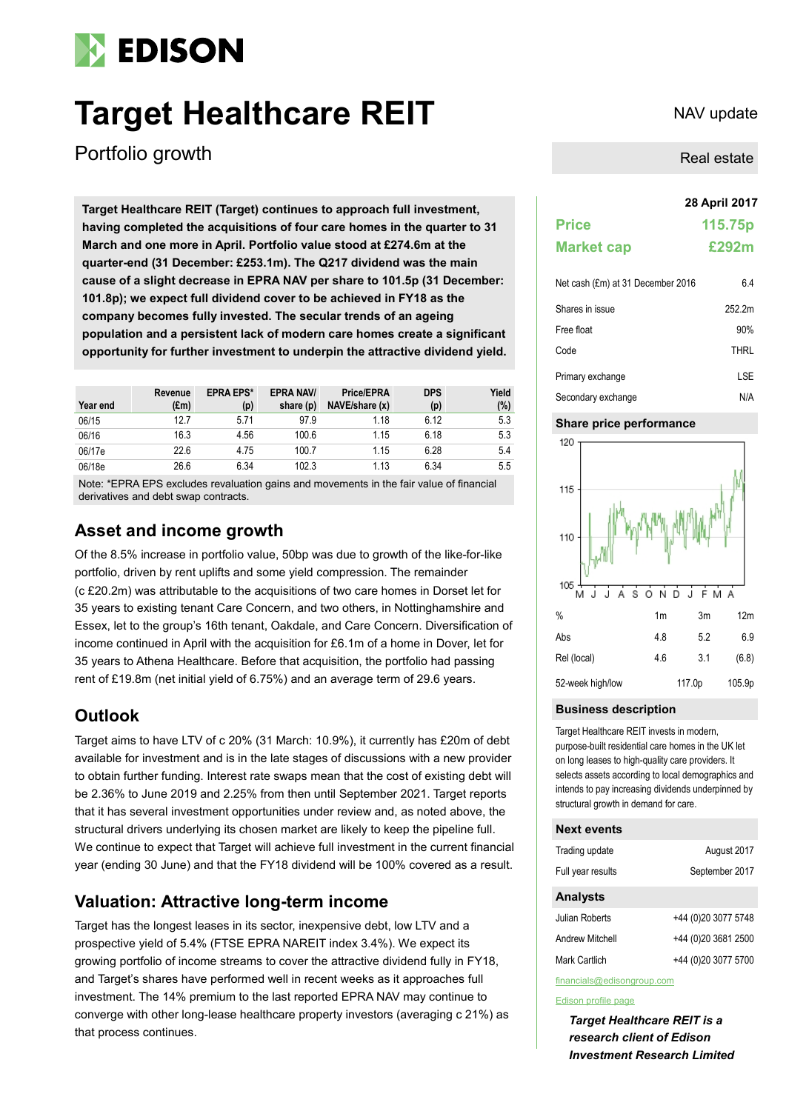# **EDISON**

# **Target Healthcare REIT** NAV update

Portfolio growth

**28 April 2017 Target Healthcare REIT (Target) continues to approach full investment, having completed the acquisitions of four care homes in the quarter to 31 March and one more in April. Portfolio value stood at £274.6m at the quarter-end (31 December: £253.1m). The Q217 dividend was the main cause of a slight decrease in EPRA NAV per share to 101.5p (31 December: 101.8p); we expect full dividend cover to be achieved in FY18 as the company becomes fully invested. The secular trends of an ageing population and a persistent lack of modern care homes create a significant opportunity for further investment to underpin the attractive dividend yield.**

| Year end | Revenue<br>$(\text{Em})$ | <b>EPRA EPS*</b><br>(p) | <b>EPRA NAV/</b><br>share (p) | <b>Price/EPRA</b><br>NAVE/share (x) | <b>DPS</b><br>(p) | Yield<br>(%) |
|----------|--------------------------|-------------------------|-------------------------------|-------------------------------------|-------------------|--------------|
| 06/15    | 12.7                     | 5.71                    | 97.9                          | 1.18                                | 6.12              | 5.3          |
| 06/16    | 16.3                     | 4.56                    | 100.6                         | 1.15                                | 6.18              | 5.3          |
| 06/17e   | 22.6                     | 4.75                    | 100.7                         | 1.15                                | 6.28              | 5.4          |
| 06/18e   | 26.6                     | 6.34                    | 102.3                         | 1.13                                | 6.34              | 5.5          |

Note: \*EPRA EPS excludes revaluation gains and movements in the fair value of financial derivatives and debt swap contracts.

# **Asset and income growth**

Of the 8.5% increase in portfolio value, 50bp was due to growth of the like-for-like portfolio, driven by rent uplifts and some yield compression. The remainder (c £20.2m) was attributable to the acquisitions of two care homes in Dorset let for 35 years to existing tenant Care Concern, and two others, in Nottinghamshire and Essex, let to the group's 16th tenant, Oakdale, and Care Concern. Diversification of income continued in April with the acquisition for £6.1m of a home in Dover, let for 35 years to Athena Healthcare. Before that acquisition, the portfolio had passing rent of £19.8m (net initial yield of 6.75%) and an average term of 29.6 years.

# **Outlook**

Target aims to have LTV of c 20% (31 March: 10.9%), it currently has £20m of debt available for investment and is in the late stages of discussions with a new provider to obtain further funding. Interest rate swaps mean that the cost of existing debt will be 2.36% to June 2019 and 2.25% from then until September 2021. Target reports that it has several investment opportunities under review and, as noted above, the structural drivers underlying its chosen market are likely to keep the pipeline full. We continue to expect that Target will achieve full investment in the current financial year (ending 30 June) and that the FY18 dividend will be 100% covered as a result.

# **Valuation: Attractive long-term income**

Target has the longest leases in its sector, inexpensive debt, low LTV and a prospective yield of 5.4% (FTSE EPRA NAREIT index 3.4%). We expect its growing portfolio of income streams to cover the attractive dividend fully in FY18, and Target's shares have performed well in recent weeks as it approaches full investment. The 14% premium to the last reported EPRA NAV may continue to converge with other long-lease healthcare property investors (averaging c 21%) as that process continues.

# Real estate

| <b>Price</b>      | 115.75p |
|-------------------|---------|
| <b>Market cap</b> | £292m   |

| Net cash (£m) at 31 December 2016 | 6.4    |  |
|-----------------------------------|--------|--|
| Shares in issue                   | 252.2m |  |
| Free float                        | 90%    |  |
| Code                              | THRL   |  |
| Primary exchange                  | LSE    |  |
| Secondary exchange                | N/A    |  |

## **Share price performance**



## **Business description**

Target Healthcare REIT invests in modern, purpose-built residential care homes in the UK let on long leases to high-quality care providers. It selects assets according to local demographics and intends to pay increasing dividends underpinned by structural growth in demand for care.

### **Next events**

| Trading update    | August 2017         |
|-------------------|---------------------|
| Full year results | September 2017      |
| <b>Analysts</b>   |                     |
| Julian Roberts    | +44 (0)20 3077 5748 |
| Andrew Mitchell   | +44 (0)20 3681 2500 |

Mark Cartlich +44 (0)20 3077 5700

financials@edisongroup.com

### [Edison profile page](http://www.edisoninvestmentresearch.com/research/company/target-healthcare-reit)

*Target Healthcare REIT is a research client of Edison Investment Research Limited*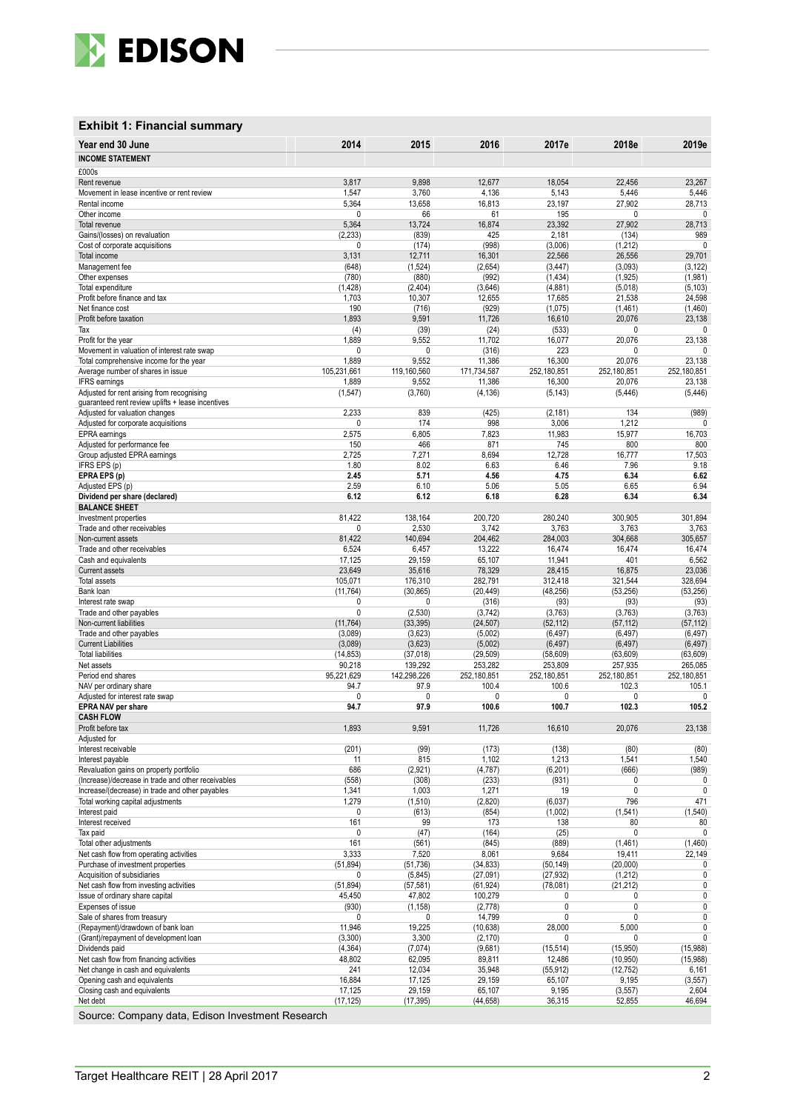

## **Exhibit 1: Financial summary**

| Year end 30 June                                                                                | 2014                     | 2015                  | 2016                 | 2017e                | 2018e                  | 2019e                  |
|-------------------------------------------------------------------------------------------------|--------------------------|-----------------------|----------------------|----------------------|------------------------|------------------------|
| <b>INCOME STATEMENT</b>                                                                         |                          |                       |                      |                      |                        |                        |
| £000s                                                                                           |                          |                       |                      |                      |                        |                        |
| Rent revenue                                                                                    | 3,817                    | 9,898                 | 12,677               | 18,054               | 22,456                 | 23,267                 |
| Movement in lease incentive or rent review                                                      | 1,547                    | 3,760                 | 4,136                | 5,143                | 5,446                  | 5,446                  |
| Rental income<br>Other income                                                                   | 5,364<br>0               | 13,658<br>66          | 16,813<br>61         | 23,197<br>195        | 27,902<br>$\mathbf{0}$ | 28,713<br>0            |
| Total revenue                                                                                   | 5,364                    | 13,724                | 16,874               | 23,392               | 27,902                 | 28,713                 |
| Gains/(losses) on revaluation                                                                   | (2, 233)                 | (839)                 | 425                  | 2,181                | (134)                  | 989                    |
| Cost of corporate acquisitions                                                                  | 0                        | (174)                 | (998)                | (3,006)              | (1,212)                | $\mathbf 0$            |
| Total income                                                                                    | 3,131                    | 12,711                | 16,301               | 22,566               | 26,556                 | 29,701                 |
| Management fee                                                                                  | (648)                    | (1,524)               | (2,654)              | (3, 447)             | (3,093)                | (3, 122)               |
| Other expenses<br>Total expenditure                                                             | (780)<br>(1, 428)        | (880)<br>(2, 404)     | (992)<br>(3,646)     | (1, 434)<br>(4,881)  | (1, 925)<br>(5,018)    | (1,981)<br>(5, 103)    |
| Profit before finance and tax                                                                   | 1,703                    | 10,307                | 12,655               | 17,685               | 21,538                 | 24,598                 |
| Net finance cost                                                                                | 190                      | (716)                 | (929)                | (1,075)              | (1,461)                | (1,460)                |
| Profit before taxation                                                                          | 1,893                    | 9,591                 | 11,726               | 16,610               | 20,076                 | 23,138                 |
| Tax                                                                                             | (4)                      | (39)                  | (24)                 | (533)                | 0                      | 0                      |
| Profit for the year<br>Movement in valuation of interest rate swap                              | 1,889<br>0               | 9,552<br>$\mathbf{0}$ | 11,702<br>(316)      | 16,077<br>223        | 20,076<br>0            | 23,138<br>$\mathbf{0}$ |
| Total comprehensive income for the year                                                         | 1,889                    | 9,552                 | 11,386               | 16,300               | 20,076                 | 23,138                 |
| Average number of shares in issue                                                               | 105,231,661              | 119,160,560           | 171,734,587          | 252,180,851          | 252,180,851            | 252,180,851            |
| <b>IFRS</b> earnings                                                                            | 1,889                    | 9,552                 | 11,386               | 16,300               | 20,076                 | 23,138                 |
| Adjusted for rent arising from recognising<br>quaranteed rent review uplifts + lease incentives | (1, 547)                 | (3,760)               | (4, 136)             | (5, 143)             | (5, 446)               | (5, 446)               |
| Adjusted for valuation changes                                                                  | 2,233                    | 839                   | (425)                | (2, 181)             | 134                    | (989)                  |
| Adjusted for corporate acquisitions                                                             | 0                        | 174                   | 998                  | 3,006                | 1,212                  | 0                      |
| EPRA earnings                                                                                   | 2,575                    | 6,805                 | 7,823                | 11,983               | 15,977                 | 16,703                 |
| Adjusted for performance fee                                                                    | 150                      | 466                   | 871                  | 745                  | 800                    | 800                    |
| Group adjusted EPRA earnings                                                                    | 2,725                    | 7,271                 | 8,694                | 12,728               | 16,777                 | 17,503<br>9.18         |
| IFRS EPS (p)<br>EPRA EPS (p)                                                                    | 1.80<br>2.45             | 8.02<br>5.71          | 6.63<br>4.56         | 6.46<br>4.75         | 7.96<br>6.34           | 6.62                   |
| Adjusted EPS (p)                                                                                | 2.59                     | 6.10                  | 5.06                 | 5.05                 | 6.65                   | 6.94                   |
| Dividend per share (declared)                                                                   | 6.12                     | 6.12                  | 6.18                 | 6.28                 | 6.34                   | 6.34                   |
| <b>BALANCE SHEET</b>                                                                            |                          |                       |                      |                      |                        |                        |
| Investment properties<br>Trade and other receivables                                            | 81,422<br>$\overline{0}$ | 138,164<br>2,530      | 200,720<br>3,742     | 280,240<br>3,763     | 300,905<br>3,763       | 301,894<br>3,763       |
| Non-current assets                                                                              | 81,422                   | 140,694               | 204,462              | 284,003              | 304,668                | 305,657                |
| Trade and other receivables                                                                     | 6,524                    | 6,457                 | 13,222               | 16,474               | 16,474                 | 16,474                 |
| Cash and equivalents                                                                            | 17,125                   | 29,159                | 65,107               | 11,941               | 401                    | 6,562                  |
| Current assets                                                                                  | 23,649                   | 35,616                | 78,329               | 28,415               | 16,875                 | 23,036                 |
| <b>Total assets</b>                                                                             | 105,071                  | 176,310               | 282,791              | 312,418              | 321,544                | 328,694                |
| Bank loan<br>Interest rate swap                                                                 | (11, 764)<br>0           | (30, 865)<br>0        | (20, 449)<br>(316)   | (48, 256)<br>(93)    | (53, 256)<br>(93)      | (53, 256)<br>(93)      |
| Trade and other payables                                                                        | 0                        | (2,530)               | (3,742)              | (3,763)              | (3,763)                | (3,763)                |
| Non-current liabilities                                                                         | (11, 764)                | (33, 395)             | (24, 507)            | (52, 112)            | (57, 112)              | (57, 112)              |
| Trade and other payables                                                                        | (3,089)                  | (3,623)               | (5,002)              | (6, 497)             | (6, 497)               | (6, 497)               |
| <b>Current Liabilities</b><br><b>Total liabilities</b>                                          | (3,089)                  | (3,623)               | (5,002)              | (6, 497)             | (6, 497)               | (6, 497)               |
| Net assets                                                                                      | (14, 853)<br>90,218      | (37, 018)<br>139,292  | (29, 509)<br>253,282 | (58, 609)<br>253,809 | (63, 609)<br>257,935   | (63, 609)<br>265,085   |
| Period end shares                                                                               | 95,221,629               | 142,298,226           | 252,180,851          | 252,180,851          | 252,180,851            | 252,180,851            |
| NAV per ordinary share                                                                          | 94.7                     | 97.9                  | 100.4                | 100.6                | 102.3                  | 105.1                  |
| Adjusted for interest rate swap                                                                 | 0                        | 0                     | 0                    | $\mathbf{0}$         | $\Omega$               | 0                      |
| <b>EPRA NAV per share</b><br><b>CASH FLOW</b>                                                   | 94.7                     | 97.9                  | 100.6                | 100.7                | 102.3                  | 105.2                  |
| Profit before tax                                                                               | 1,893                    | 9,591                 | 11,726               | 16,610               | 20,076                 | 23,138                 |
| Adjusted for                                                                                    |                          |                       |                      |                      |                        |                        |
| Interest receivable                                                                             | (201)                    | (99)                  | (173)                | (138)                | (80)                   | (80)                   |
| Interest payable                                                                                | 11<br>686                | 815                   | 1,102                | 1,213                | 1,541                  | 1,540                  |
| Revaluation gains on property portfolio<br>(Increase)/decrease in trade and other receivables   | (558)                    | (2,921)<br>(308)      | (4, 787)<br>(233)    | (6, 201)<br>(931)    | (666)<br>0             | (989)<br>0             |
| Increase/(decrease) in trade and other payables                                                 | 1,341                    | 1,003                 | 1,271                | 19                   | 0                      | 0                      |
| Total working capital adjustments                                                               | 1,279                    | (1,510)               | (2,820)              | (6,037)              | 796                    | 471                    |
| Interest paid                                                                                   | 0                        | (613)                 | (854)                | (1,002)              | (1,541)                | (1, 540)               |
| Interest received<br>Tax paid                                                                   | 161<br>0                 | 99<br>(47)            | 173<br>(164)         | 138<br>(25)          | 80                     | 80<br>$\overline{0}$   |
| Total other adjustments                                                                         | 161                      | (561)                 | (845)                | (889)                | (1,461)                | (1,460)                |
| Net cash flow from operating activities                                                         | 3,333                    | 7,520                 | 8,061                | 9,684                | 19,411                 | 22,149                 |
| Purchase of investment properties                                                               | (51, 894)                | (51, 736)             | (34, 833)            | (50, 149)            | (20,000)               | 0                      |
| Acquisition of subsidiaries                                                                     | 0                        | (5,845)               | (27,091)             | (27, 932)            | (1,212)                | 0                      |
| Net cash flow from investing activities<br>Issue of ordinary share capital                      | (51, 894)<br>45,450      | (57, 581)<br>47,802   | (61, 924)<br>100,279 | (78,081)<br>0        | (21, 212)<br>0         | 0<br>0                 |
| Expenses of issue                                                                               | (930)                    | (1, 158)              | (2,778)              | 0                    | 0                      | 0                      |
| Sale of shares from treasury                                                                    | 0                        | 0                     | 14,799               | 0                    | 0                      | 0                      |
| (Repayment)/drawdown of bank loan                                                               | 11,946                   | 19,225                | (10, 638)            | 28,000               | 5,000                  | 0                      |
| (Grant)/repayment of development loan                                                           | (3,300)                  | 3,300                 | (2, 170)             | 0                    | 0                      | 0                      |
| Dividends paid<br>Net cash flow from financing activities                                       | (4, 364)<br>48,802       | (7,074)<br>62,095     | (9,681)<br>89,811    | (15, 514)<br>12,486  | (15,950)<br>(10, 950)  | (15,988)               |
| Net change in cash and equivalents                                                              | 241                      | 12,034                | 35,948               | (55, 912)            | (12, 752)              | (15,988)<br>6,161      |
| Opening cash and equivalents                                                                    | 16,884                   | 17,125                | 29,159               | 65,107               | 9,195                  | (3, 557)               |
| Closing cash and equivalents                                                                    | 17,125                   | 29,159                | 65,107               | 9,195                | (3, 557)               | 2,604                  |
| Net debt                                                                                        | (17, 125)                | (17, 395)             | (44, 658)            | 36,315               | 52,855                 | 46,694                 |

Source: Company data, Edison Investment Research